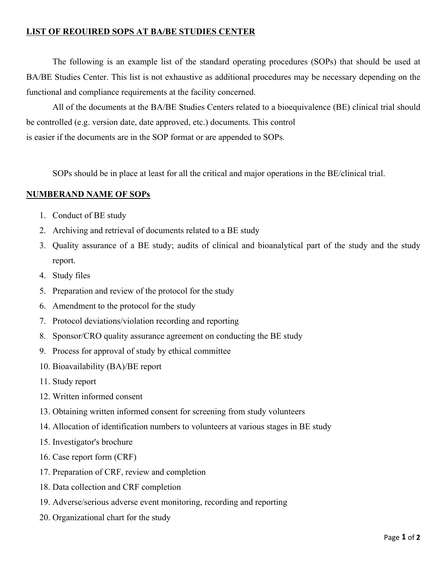## **LIST OF REOUIRED SOPS AT BA/BE STUDIES CENTER**

The following is an example list of the standard operating procedures (SOPs) that should be used at BA/BE Studies Center. This list is not exhaustive as additional procedures may be necessary depending on the functional and compliance requirements at the facility concerned.

All of the documents at the BA/BE Studies Centers related to a bioequivalence (BE) clinical trial should be controlled (e.g. version date, date approved, etc.) documents. This control is easier if the documents are in the SOP format or are appended to SOPs.

SOPs should be in place at least for all the critical and major operations in the BE/clinical trial.

## **NUMBERAND NAME OF SOPs**

- 1. Conduct of BE study
- 2. Archiving and retrieval of documents related to a BE study
- 3. Quality assurance of a BE study; audits of clinical and bioanalytical part of the study and the study report.
- 4. Study files
- 5. Preparation and review of the protocol for the study
- 6. Amendment to the protocol for the study
- 7. Protocol deviations/violation recording and reporting
- 8. Sponsor/CRO quality assurance agreement on conducting the BE study
- 9. Process for approval of study by ethical committee
- 10. Bioavailability (BA)/BE report
- 11. Study report
- 12. Written informed consent
- 13. Obtaining written informed consent for screening from study volunteers
- 14. Allocation of identification numbers to volunteers at various stages in BE study
- 15. Investigator's brochure
- 16. Case report form (CRF)
- 17. Preparation of CRF, review and completion
- 18. Data collection and CRF completion
- 19. Adverse/serious adverse event monitoring, recording and reporting
- 20. Organizational chart for the study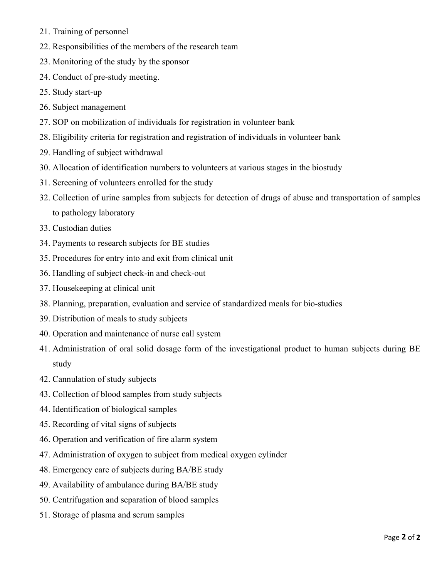- 21. Training of personnel
- 22. Responsibilities of the members of the research team
- 23. Monitoring of the study by the sponsor
- 24. Conduct of pre-study meeting.
- 25. Study start-up
- 26. Subject management
- 27. SOP on mobilization of individuals for registration in volunteer bank
- 28. Eligibility criteria for registration and registration of individuals in volunteer bank
- 29. Handling of subject withdrawal
- 30. Allocation of identification numbers to volunteers at various stages in the biostudy
- 31. Screening of volunteers enrolled for the study
- 32. Collection of urine samples from subjects for detection of drugs of abuse and transportation of samples to pathology laboratory
- 33. Custodian duties
- 34. Payments to research subjects for BE studies
- 35. Procedures for entry into and exit from clinical unit
- 36. Handling of subject check-in and check-out
- 37. Housekeeping at clinical unit
- 38. Planning, preparation, evaluation and service of standardized meals for bio-studies
- 39. Distribution of meals to study subjects
- 40. Operation and maintenance of nurse call system
- 41. Administration of oral solid dosage form of the investigational product to human subjects during BE study
- 42. Cannulation of study subjects
- 43. Collection of blood samples from study subjects
- 44. Identification of biological samples
- 45. Recording of vital signs of subjects
- 46. Operation and verification of fire alarm system
- 47. Administration of oxygen to subject from medical oxygen cylinder
- 48. Emergency care of subjects during BA/BE study
- 49. Availability of ambulance during BA/BE study
- 50. Centrifugation and separation of blood samples
- 51. Storage of plasma and serum samples